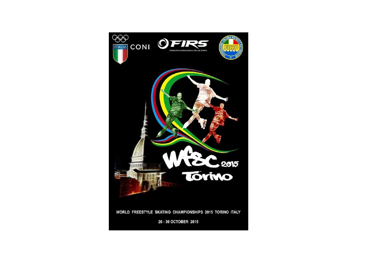